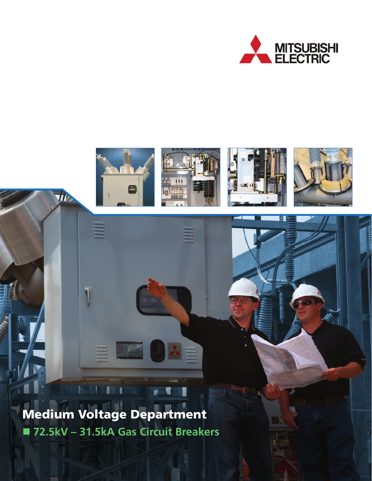



 **72.5kV – 31.5kA Gas Circuit Breakers** Medium Voltage Department

**The**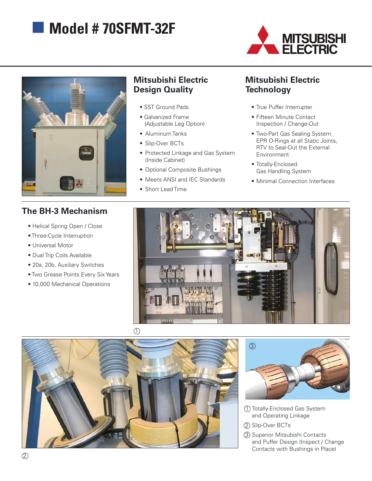# **Model # 70SFMT-32F**





## **Mitsubishi Electric Design Quality**

- SST Ground Pads
- Galvanized Frame (Adjustable Leg Option)
- Aluminum Tanks
- Slip-Over BCTs
- Protected Linkage and Gas System (Inside Cabinet)
- Optional Composite Bushings
- Meets ANSI and IEC Standards
- Short Lead Time

## **Mitsubishi Electric Technology**

- True Puffer Interrupter
- Fifteen Minute Contact Inspection / Change-Out
- Two-Part Gas Sealing System: EPR O-Rings at all Static Joints, RTV to Seal-Out the External Environment
- Totally-Enclosed Gas Handling System
- • Minimal Connection Interfaces

## **The BH-3 Mechanism**

- Helical Spring Open / Close
- Three-Cycle Interruption
- Universal Motor
- Dual Trip Coils Available
- 20a, 20b, Auxiliary Switches
- Two Grease Points Every Six Years
- 10,000 Mechanical Operations







- Totally-Enclosed Gas System 1 and Operating Linkage
- 2) Slip-Over BCTs
- 3) Superior Mitsubishi Contacts and Puffer Design (Inspect / Change Contacts with Bushings in Place)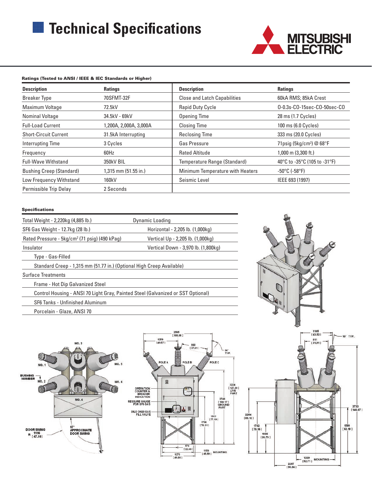# **Technical Specifications**



#### **Description Ratings Description Ratings**  Breaker Type **70SFMT-32F** Close and Latch Capabilities 60kA RMS; 85kA Crest Maximum Voltage **72.5kV** Rapid Duty Cycle **CO-0.3s-CO-15sec-CO-50sec-CO-**50sec-CO-50sec-CO-50sec-CO-50sec-CO-50sec-CO Nominal Voltage **34.5kV** - 69kV **Opening Time** 28 ms (1.7 Cycles) Full-Load Current 1,200A, 2,000A, 2,000A Closing Time 100 ms (6.0 Cycles) Short-Circuit Current 31.5kA Interrupting and Reclosing Time 333 ms (20.0 Cycles) Interrupting Time **3 Cycles** 3 Cycles **Gas Pressure** 71psig (5kg/cm<sup>2</sup>) @ 68°F Frequency 60Hz 60Hz Rated Altitude 1,000 m (3,300 ft.) Full-Wave Withstand 350kV BIL 35°C (105 to -31°F) 350kV BIL Temperature Range (Standard) 40°C to -35°C (105 to -31°F) Bushing Creep (Standard) 1,315 mm (51.55 in.) Minimum Temperature with Heaters -50°C (-58°F) Low Frequency Withstand 160kV **Seismic Level** Seismic Level **IEEE 693** (1997) Permissible Trip Delay 2 Seconds Ratings (Tested to ANSI / IEEE & IEC Standards or Higher)

#### Specifications

| Total Weight - 2,220kg (4,885 lb.)                                               | Dynamic Loading                     |
|----------------------------------------------------------------------------------|-------------------------------------|
| SF6 Gas Weight - 12.7kg (28 lb.)                                                 | Horizontal - 2,205 lb. (1,000kg)    |
| Rated Pressure - 5kg/cm <sup>2</sup> (71 psig) (490 kPag)                        | Vertical Up - 2,205 lb. (1,000kg)   |
| Insulator                                                                        | Vertical Down - 3,970 lb. (1,800kg) |
| Type - Gas-Filled                                                                |                                     |
| Standard Creep - 1,315 mm (51.77 in.) (Optional High Creep Available)            |                                     |
| <b>Surface Treatments</b>                                                        |                                     |
| <b>Frame - Hot Dip Galvanized Steel</b>                                          |                                     |
| Control Housing - ANSI 70 Light Gray, Painted Steel (Galvanized or SST Optional) |                                     |
| SF6 Tanks - Unfinished Aluminum                                                  |                                     |
| Porcelain - Glaze, ANSI 70                                                       |                                     |